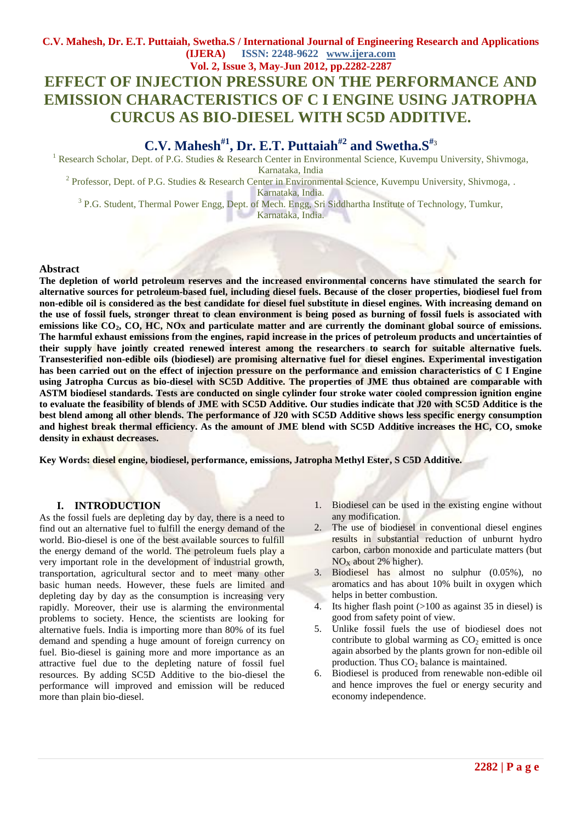## **C.V. Mahesh, Dr. E.T. Puttaiah, Swetha.S / International Journal of Engineering Research and Applications (IJERA) ISSN: 2248-9622 www.ijera.com Vol. 2, Issue 3, May-Jun 2012, pp.2282-2287 EFFECT OF INJECTION PRESSURE ON THE PERFORMANCE AND EMISSION CHARACTERISTICS OF C I ENGINE USING JATROPHA CURCUS AS BIO-DIESEL WITH SC5D ADDITIVE.**

# **C.V. Mahesh#1 , Dr. E.T. Puttaiah#2 and Swetha.S#**<sup>3</sup>

<sup>1</sup> Research Scholar, Dept. of P.G. Studies & Research Center in Environmental Science, Kuvempu University, Shivmoga, Karnataka, India

<sup>2</sup> Professor, Dept. of P.G. Studies & Research Center in Environmental Science, Kuvempu University, Shivmoga, .

Karnataka, India.

<sup>3</sup> P.G. Student, Thermal Power Engg, Dept. of Mech. Engg, Sri Siddhartha Institute of Technology, Tumkur,

Karnataka, India.

#### **Abstract**

**The depletion of world petroleum reserves and the increased environmental concerns have stimulated the search for alternative sources for petroleum-based fuel, including diesel fuels. Because of the closer properties, biodiesel fuel from non-edible oil is considered as the best candidate for diesel fuel substitute in diesel engines. With increasing demand on the use of fossil fuels, stronger threat to clean environment is being posed as burning of fossil fuels is associated with emissions like CO2, CO, HC, NOx and particulate matter and are currently the dominant global source of emissions. The harmful exhaust emissions from the engines, rapid increase in the prices of petroleum products and uncertainties of their supply have jointly created renewed interest among the researchers to search for suitable alternative fuels. Transesterified non-edible oils (biodiesel) are promising alternative fuel for diesel engines. Experimental investigation has been carried out on the effect of injection pressure on the performance and emission characteristics of C I Engine using Jatropha Curcus as bio-diesel with SC5D Additive. The properties of JME thus obtained are comparable with ASTM biodiesel standards. Tests are conducted on single cylinder four stroke water cooled compression ignition engine to evaluate the feasibility of blends of JME with SC5D Additive. Our studies indicate that J20 with SC5D Additice is the best blend among all other blends. The performance of J20 with SC5D Additive shows less specific energy consumption and highest break thermal efficiency. As the amount of JME blend with SC5D Additive increases the HC, CO, smoke density in exhaust decreases.**

**Key Words: diesel engine, biodiesel, performance, emissions, Jatropha Methyl Ester, S C5D Additive.**

#### **I. INTRODUCTION**

As the fossil fuels are depleting day by day, there is a need to find out an alternative fuel to fulfill the energy demand of the world. Bio-diesel is one of the best available sources to fulfill the energy demand of the world. The petroleum fuels play a very important role in the development of industrial growth, transportation, agricultural sector and to meet many other basic human needs. However, these fuels are limited and depleting day by day as the consumption is increasing very rapidly. Moreover, their use is alarming the environmental problems to society. Hence, the scientists are looking for alternative fuels. India is importing more than 80% of its fuel demand and spending a huge amount of foreign currency on fuel. Bio-diesel is gaining more and more importance as an attractive fuel due to the depleting nature of fossil fuel resources. By adding SC5D Additive to the bio-diesel the performance will improved and emission will be reduced more than plain bio-diesel.

- 1. Biodiesel can be used in the existing engine without any modification.
- 2. The use of biodiesel in conventional diesel engines results in substantial reduction of unburnt hydro carbon, carbon monoxide and particulate matters (but  $NO<sub>x</sub>$  about 2% higher).
- 3. Biodiesel has almost no sulphur (0.05%), no aromatics and has about 10% built in oxygen which helps in better combustion.
- 4. Its higher flash point (>100 as against 35 in diesel) is good from safety point of view.
- 5. Unlike fossil fuels the use of biodiesel does not contribute to global warming as  $CO<sub>2</sub>$  emitted is once again absorbed by the plants grown for non-edible oil production. Thus  $CO<sub>2</sub>$  balance is maintained.
- 6. Biodiesel is produced from renewable non-edible oil and hence improves the fuel or energy security and economy independence.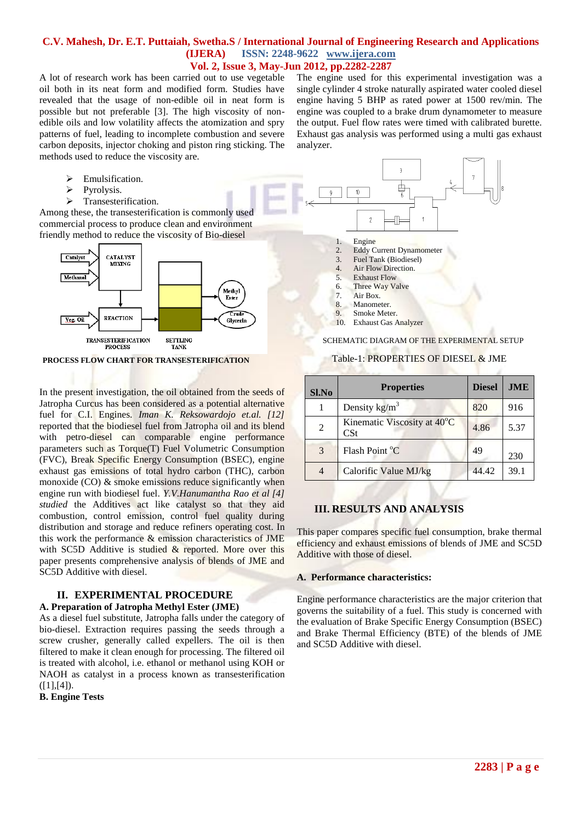A lot of research work has been carried out to use vegetable oil both in its neat form and modified form. Studies have revealed that the usage of non-edible oil in neat form is possible but not preferable [3]. The high viscosity of nonedible oils and low volatility affects the atomization and spry patterns of fuel, leading to incomplete combustion and severe carbon deposits, injector choking and piston ring sticking. The methods used to reduce the viscosity are.

- $\triangleright$  Emulsification.
- $\triangleright$  Pyrolysis.
- $\triangleright$  Transesterification.

Among these, the transesterification is commonly used commercial process to produce clean and environment friendly method to reduce the viscosity of Bio-diesel



**PROCESS FLOW CHART FOR TRANSESTERIFICATION**

In the present investigation, the oil obtained from the seeds of Jatropha Curcus has been considered as a potential alternative fuel for C.I. Engines. *Iman K. Reksowardojo et.al. [12]* reported that the biodiesel fuel from Jatropha oil and its blend with petro-diesel can comparable engine performance parameters such as Torque(T) Fuel Volumetric Consumption (FVC), Break Specific Energy Consumption (BSEC), engine exhaust gas emissions of total hydro carbon (THC), carbon monoxide (CO) & smoke emissions reduce significantly when engine run with biodiesel fuel. *Y.V.Hanumantha Rao et al [4] studied* the Additives act like catalyst so that they aid combustion, control emission, control fuel quality during distribution and storage and reduce refiners operating cost. In this work the performance & emission characteristics of JME with SC5D Additive is studied & reported. More over this paper presents comprehensive analysis of blends of JME and SC5D Additive with diesel.

# **II. EXPERIMENTAL PROCEDURE**

### **A. Preparation of Jatropha Methyl Ester (JME)**

As a diesel fuel substitute, Jatropha falls under the category of bio-diesel. Extraction requires passing the seeds through a screw crusher, generally called expellers. The oil is then filtered to make it clean enough for processing. The filtered oil is treated with alcohol, i.e. ethanol or methanol using KOH or NAOH as catalyst in a process known as transesterification  $([1],[4]).$ 

**B. Engine Tests**

The engine used for this experimental investigation was a single cylinder 4 stroke naturally aspirated water cooled diesel engine having 5 BHP as rated power at 1500 rev/min. The engine was coupled to a brake drum dynamometer to measure the output. Fuel flow rates were timed with calibrated burette. Exhaust gas analysis was performed using a multi gas exhaust analyzer.



#### Table-1: PROPERTIES OF DIESEL & JME

| Sl.No | <b>Properties</b>                                           | <b>Diesel</b> | <b>JME</b> |
|-------|-------------------------------------------------------------|---------------|------------|
|       | Density $\text{kg/m}^3$                                     | 820           | 916        |
| 2     | Kinematic Viscosity at 40 <sup>°</sup> C<br>$\mathbf{C}$ St | 4.86          | 5.37       |
| 3     | Flash Point °C                                              | 49            | 230        |
| 4     | Calorific Value MJ/kg                                       | 44.42         | 39.1       |

### **III. RESULTS AND ANALYSIS**

This paper compares specific fuel consumption, brake thermal efficiency and exhaust emissions of blends of JME and SC5D Additive with those of diesel.

#### **A. Performance characteristics:**

Engine performance characteristics are the major criterion that governs the suitability of a fuel. This study is concerned with the evaluation of Brake Specific Energy Consumption (BSEC) and Brake Thermal Efficiency (BTE) of the blends of JME and SC5D Additive with diesel.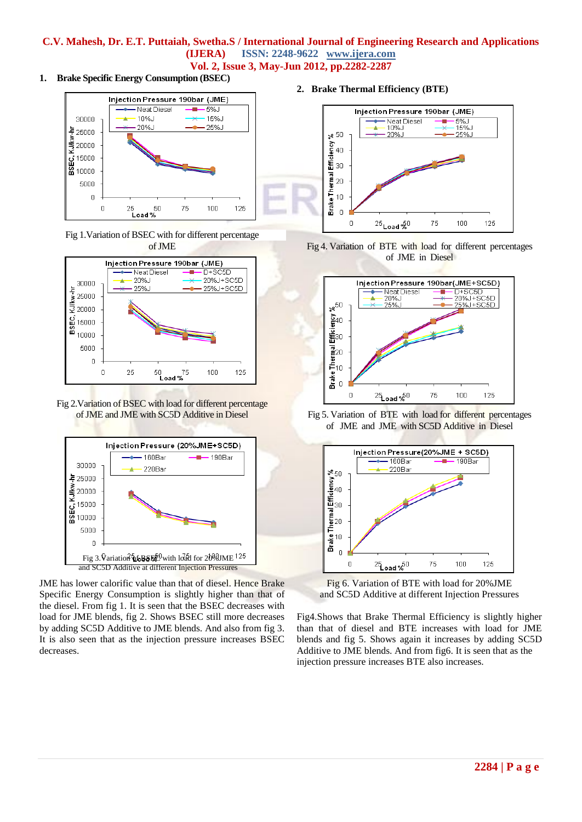**1. Brake Specific Energy Consumption (BSEC)**



Fig 1.Variation of BSEC with for different percentage of JME



Fig 2.Variation of BSEC with load for different percentage of JME and JME with SC5D Additive in Diesel



JME has lower calorific value than that of diesel. Hence Brake Specific Energy Consumption is slightly higher than that of the diesel. From fig 1. It is seen that the BSEC decreases with load for JME blends, fig 2. Shows BSEC still more decreases by adding SC5D Additive to JME blends. And also from fig 3. It is also seen that as the injection pressure increases BSEC decreases.

**2. Brake Thermal Efficiency (BTE)**







Fig 5. Variation of BTE with load for different percentages of JME and JME with SC5D Additive in Diesel



Fig 6. Variation of BTE with load for 20%JME and SC5D Additive at different Injection Pressures

Fig4.Shows that Brake Thermal Efficiency is slightly higher than that of diesel and BTE increases with load for JME blends and fig 5. Shows again it increases by adding SC5D Additive to JME blends. And from fig6. It is seen that as the injection pressure increases BTE also increases.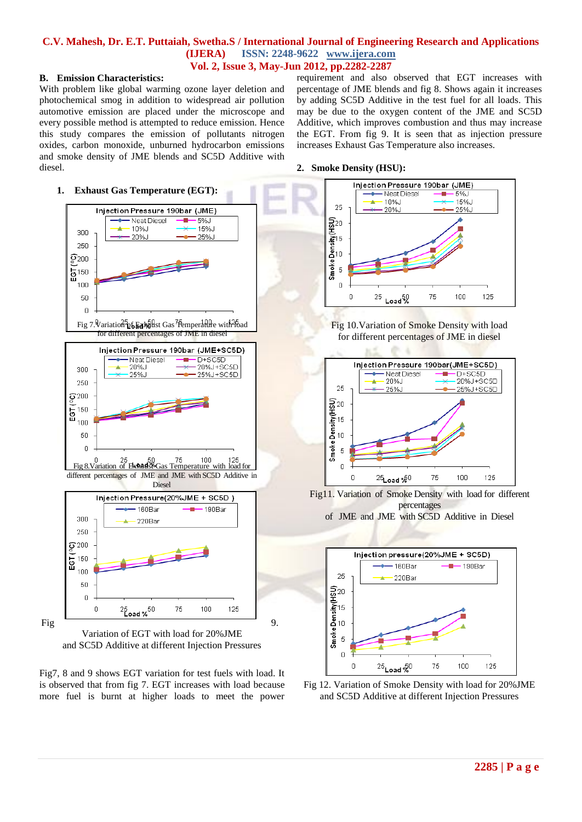#### **B. Emission Characteristics:**

With problem like global warming ozone layer deletion and photochemical smog in addition to widespread air pollution automotive emission are placed under the microscope and every possible method is attempted to reduce emission. Hence this study compares the emission of pollutants nitrogen oxides, carbon monoxide, unburned hydrocarbon emissions and smoke density of JME blends and SC5D Additive with diesel.

requirement and also observed that EGT increases with percentage of JME blends and fig 8. Shows again it increases by adding SC5D Additive in the test fuel for all loads. This may be due to the oxygen content of the JME and SC5D Additive, which improves combustion and thus may increase the EGT. From fig 9. It is seen that as injection pressure increases Exhaust Gas Temperature also increases.







Fig7, 8 and 9 shows EGT variation for test fuels with load. It is observed that from fig 7. EGT increases with load because more fuel is burnt at higher loads to meet the power



Fig 10.Variation of Smoke Density with load for different percentages of JME in diesel



Fig11. Variation of Smoke Density with load for different percentages of JME and JME with SC5D Additive in Diesel



Fig 12. Variation of Smoke Density with load for 20%JME and SC5D Additive at different Injection Pressures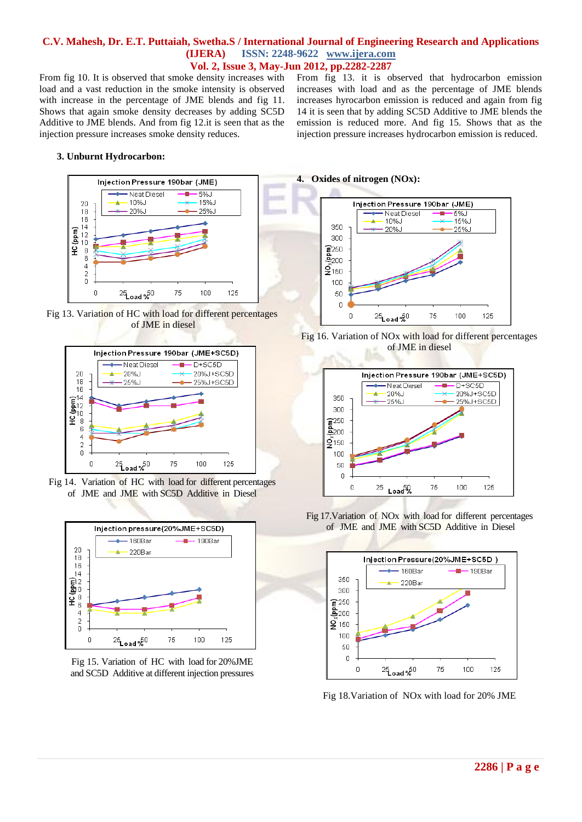From fig 10. It is observed that smoke density increases with load and a vast reduction in the smoke intensity is observed with increase in the percentage of JME blends and fig 11. Shows that again smoke density decreases by adding SC5D Additive to JME blends. And from fig 12.it is seen that as the injection pressure increases smoke density reduces.

From fig 13. it is observed that hydrocarbon emission increases with load and as the percentage of JME blends increases hyrocarbon emission is reduced and again from fig 14 it is seen that by adding SC5D Additive to JME blends the emission is reduced more. And fig 15. Shows that as the injection pressure increases hydrocarbon emission is reduced.

#### **3. Unburnt Hydrocarbon:**







Fig 14. Variation of HC with load for different percentages of JME and JME with SC5D Additive in Diesel



Fig 15. Variation of HC with load for 20%JME and SC5D Additive at different injection pressures

#### **4. Oxides of nitrogen (NOx):**







Fig 17.Variation of NOx with load for different percentages of JME and JME with SC5D Additive in Diesel



Fig 18.Variation of NOx with load for 20% JME